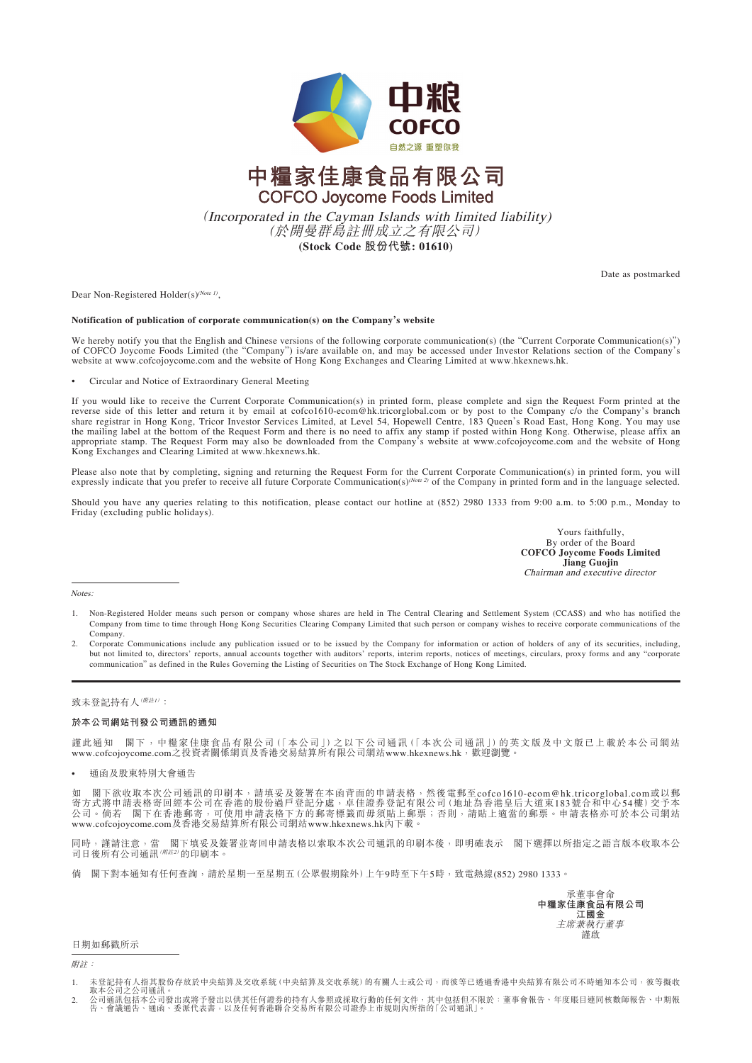

# 中糧家佳康食品有限公司 **COFCO Joycome Foods Limited**

(Incorporated in the Cayman Islands with limited liability) (於開曼群島註冊成立之有限公司) **(Stock Code 股份代號: 01610)**

Date as postmarked

Dear Non-Registered Holder(s)<sup>(Note 1)</sup>,

## **Notification of publication of corporate communication(s) on the Company's website**

We hereby notify you that the English and Chinese versions of the following corporate communication(s) (the "Current Corporate Communication(s)") of COFCO Joycome Foods Limited (the "Company") is/are available on, and may be accessed under Investor Relations section of the Company's website at www.cofcojoycome.com and the website of Hong Kong Exchanges and Clearing Limited at www.hkexnews.hk.

• Circular and Notice of Extraordinary General Meeting

If you would like to receive the Current Corporate Communication(s) in printed form, please complete and sign the Request Form printed at the reverse side of this letter and return it by email at cofco1610-ecom@hk.tricorglobal.com or by post to the Company c/o the Company's branch share registrar in Hong Kong, Tricor Investor Services Limited, at Level 54, Hopewell Centre, 183 Queen's Road East, Hong Kong. You may use the mailing label at the bottom of the Request Form and there is no need to affix any stamp if posted within Hong Kong. Otherwise, please affix an appropriate stamp. The Request Form may also be downloaded from the Company's website at www.cofcojoycome.com and the website of Hong Kong Exchanges and Clearing Limited at www.hkexnews.hk.

Please also note that by completing, signing and returning the Request Form for the Current Corporate Communication(s) in printed form, you will expressly indicate that you prefer to receive all future Corporate Communication(s)( $N$ <sub>0</sub>  $\sigma$ ) of the Company in printed form and in the language selected.

Should you have any queries relating to this notification, please contact our hotline at (852) 2980 1333 from 9:00 a.m. to 5:00 p.m., Monday to Friday (excluding public holidays).

> Yours faithfully, By order of the Board **COFCO Joycome Foods Limited Jiang Guojin** Chairman and executive director

Notes:

- 1. Non-Registered Holder means such person or company whose shares are held in The Central Clearing and Settlement System (CCASS) and who has notified the Company from time to time through Hong Kong Securities Clearing Company Limited that such person or company wishes to receive corporate communications of the Company.
- 2. Corporate Communications include any publication issued or to be issued by the Company for information or action of holders of any of its securities, including, but not limited to, directors' reports, annual accounts together with auditors' reports, interim reports, notices of meetings, circulars, proxy forms and any "corporate communication" as defined in the Rules Governing the Listing of Securities on The Stock Exchange of Hong Kong Limited.

# 致未登記持有人(<sup>附註1)</sup>:

#### **於本公司網站刊發公司通訊的通知**

謹此通知 閣下,中糧家佳康食品有限公司(「本公司」)之以下公司通訊(「本次公司通訊」)的英文版及中文版已上載於本公司網站 www.cofcojoycome.com之投資者關係網頁及香港交易結算所有限公司網站www.hkexnews.hk,歡迎瀏覽。

• 通函及股東特別大會通告

如 閣下欲收取本次公司通訊的印刷本,請填妥及簽署在本函背面的申請表格,然後電郵至cofco1610-ecom@hk.tricorglobal.com或以郵 寄方式將申請表格寄回經本公司在香港的股份過戶登記分處,卓佳證券登記有限公司(地址為香港皇后大道東183號合和中心54樓)交予本<br>公司。倘若 閣下在香港郵寄,可使用申請表格下方的郵寄標籤而毋須貼上郵票;否則,請貼上適當的郵票。申請表格亦可於本公司網站 www.cofcojoycome.com及香港交易結算所有限公司網站www.hkexnews.hk內下載。

同時,謹請注意,當 閣下填妥及簽署並寄回申請表格以索取本次公司通訊的印刷本後,即明確表示 閣下選擇以所指定之語言版本收取本公<br>司日後所有公司通訊(*W註2*)的印刷本。

倘 閣下對本通知有任何查詢,請於星期一至星期五(公眾假期除外)上午9時至下午5時,致電熱線(852) 2980 1333。

承董事會命 **中糧家佳康食品有限公司 江國金** 主席兼執行董事 謹啟

## 日期如郵戳所示

附註:

1. 未登記持有人指其股份存放於中央結算及交收系統(中央結算及交收系統)的有關人士或公司,而彼等已透過香港中央結算有限公司不時通知本公司,彼等擬收<br> 取本公司公司通訊。<br>2. 公司通訊包括本公司發出或將予發出以供其任何證券的持有人參照或採取行動的任何文件,其中包括但不限於:董事會報告、年度賬目連同核數師報告、中期報 告、會議通告、通函、委派代表書,以及任何香港聯合交易所有限公司證券上市規則內所指的「公司通訊」。